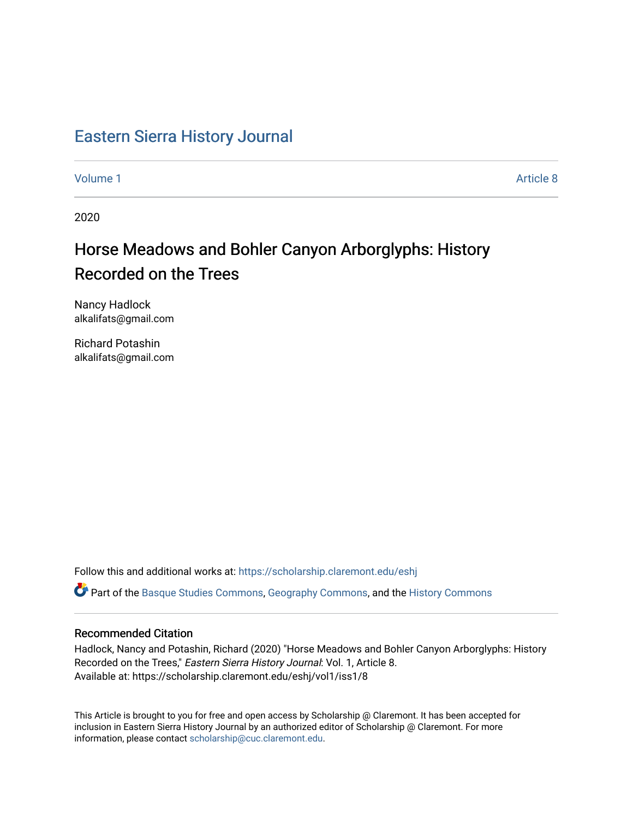## [Eastern Sierra History Journal](https://scholarship.claremont.edu/eshj)

[Volume 1](https://scholarship.claremont.edu/eshj/vol1) Article 8

2020

## Horse Meadows and Bohler Canyon Arborglyphs: History Recorded on the Trees

Nancy Hadlock alkalifats@gmail.com

Richard Potashin alkalifats@gmail.com

Follow this and additional works at: [https://scholarship.claremont.edu/eshj](https://scholarship.claremont.edu/eshj?utm_source=scholarship.claremont.edu%2Feshj%2Fvol1%2Fiss1%2F8&utm_medium=PDF&utm_campaign=PDFCoverPages) 

Part of the [Basque Studies Commons,](http://network.bepress.com/hgg/discipline/1244?utm_source=scholarship.claremont.edu%2Feshj%2Fvol1%2Fiss1%2F8&utm_medium=PDF&utm_campaign=PDFCoverPages) [Geography Commons,](http://network.bepress.com/hgg/discipline/354?utm_source=scholarship.claremont.edu%2Feshj%2Fvol1%2Fiss1%2F8&utm_medium=PDF&utm_campaign=PDFCoverPages) and the [History Commons](http://network.bepress.com/hgg/discipline/489?utm_source=scholarship.claremont.edu%2Feshj%2Fvol1%2Fiss1%2F8&utm_medium=PDF&utm_campaign=PDFCoverPages)

## Recommended Citation

Hadlock, Nancy and Potashin, Richard (2020) "Horse Meadows and Bohler Canyon Arborglyphs: History Recorded on the Trees," Eastern Sierra History Journal: Vol. 1, Article 8. Available at: https://scholarship.claremont.edu/eshj/vol1/iss1/8

This Article is brought to you for free and open access by Scholarship @ Claremont. It has been accepted for inclusion in Eastern Sierra History Journal by an authorized editor of Scholarship @ Claremont. For more information, please contact [scholarship@cuc.claremont.edu](mailto:scholarship@cuc.claremont.edu).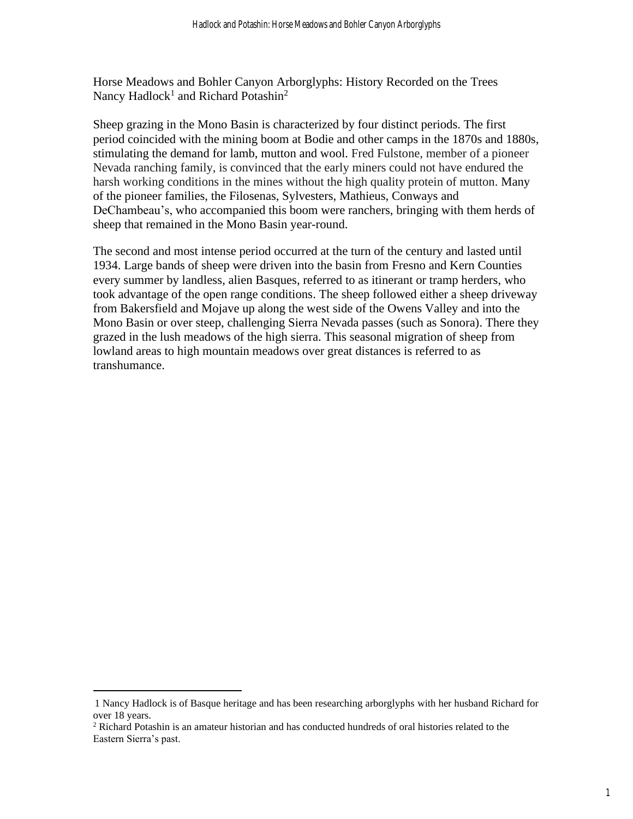Horse Meadows and Bohler Canyon Arborglyphs: History Recorded on the Trees Nancy Hadlock<sup>1</sup> and Richard Potashin<sup>2</sup>

Sheep grazing in the Mono Basin is characterized by four distinct periods. The first period coincided with the mining boom at Bodie and other camps in the 1870s and 1880s, stimulating the demand for lamb, mutton and wool. Fred Fulstone, member of a pioneer Nevada ranching family, is convinced that the early miners could not have endured the harsh working conditions in the mines without the high quality protein of mutton. Many of the pioneer families, the Filosenas, Sylvesters, Mathieus, Conways and DeChambeau's, who accompanied this boom were ranchers, bringing with them herds of sheep that remained in the Mono Basin year-round.

The second and most intense period occurred at the turn of the century and lasted until 1934. Large bands of sheep were driven into the basin from Fresno and Kern Counties every summer by landless, alien Basques, referred to as itinerant or tramp herders, who took advantage of the open range conditions. The sheep followed either a sheep driveway from Bakersfield and Mojave up along the west side of the Owens Valley and into the Mono Basin or over steep, challenging Sierra Nevada passes (such as Sonora). There they grazed in the lush meadows of the high sierra. This seasonal migration of sheep from lowland areas to high mountain meadows over great distances is referred to as transhumance.

<sup>1</sup> Nancy Hadlock is of Basque heritage and has been researching arborglyphs with her husband Richard for over 18 years.

<sup>&</sup>lt;sup>2</sup> Richard Potashin is an amateur historian and has conducted hundreds of oral histories related to the Eastern Sierra's past.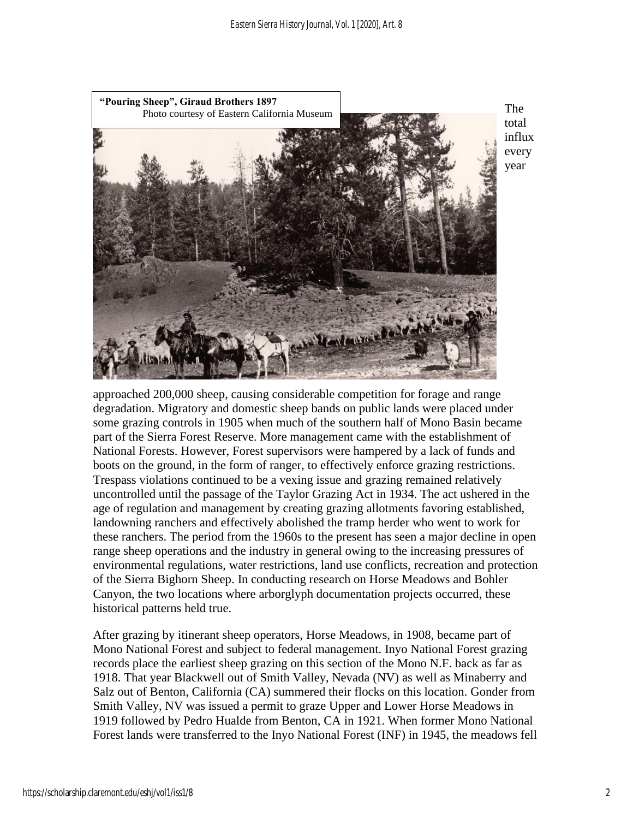

The total influx every year

approached 200,000 sheep, causing considerable competition for forage and range degradation. Migratory and domestic sheep bands on public lands were placed under some grazing controls in 1905 when much of the southern half of Mono Basin became part of the Sierra Forest Reserve. More management came with the establishment of National Forests. However, Forest supervisors were hampered by a lack of funds and boots on the ground, in the form of ranger, to effectively enforce grazing restrictions. Trespass violations continued to be a vexing issue and grazing remained relatively uncontrolled until the passage of the Taylor Grazing Act in 1934. The act ushered in the age of regulation and management by creating grazing allotments favoring established, landowning ranchers and effectively abolished the tramp herder who went to work for these ranchers. The period from the 1960s to the present has seen a major decline in open range sheep operations and the industry in general owing to the increasing pressures of environmental regulations, water restrictions, land use conflicts, recreation and protection of the Sierra Bighorn Sheep. In conducting research on Horse Meadows and Bohler Canyon, the two locations where arborglyph documentation projects occurred, these historical patterns held true.

After grazing by itinerant sheep operators, Horse Meadows, in 1908, became part of Mono National Forest and subject to federal management. Inyo National Forest grazing records place the earliest sheep grazing on this section of the Mono N.F. back as far as 1918. That year Blackwell out of Smith Valley, Nevada (NV) as well as Minaberry and Salz out of Benton, California (CA) summered their flocks on this location. Gonder from Smith Valley, NV was issued a permit to graze Upper and Lower Horse Meadows in 1919 followed by Pedro Hualde from Benton, CA in 1921. When former Mono National Forest lands were transferred to the Inyo National Forest (INF) in 1945, the meadows fell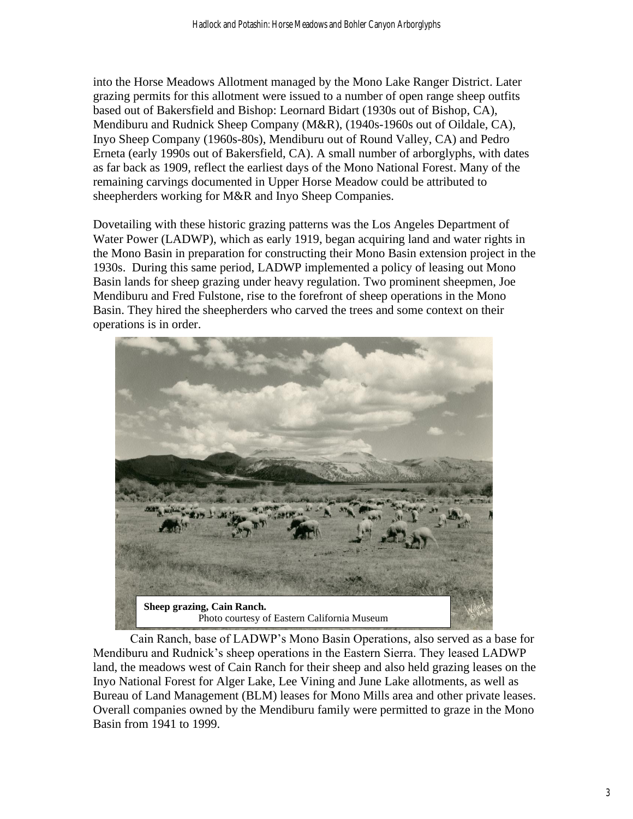into the Horse Meadows Allotment managed by the Mono Lake Ranger District. Later grazing permits for this allotment were issued to a number of open range sheep outfits based out of Bakersfield and Bishop: Leornard Bidart (1930s out of Bishop, CA), Mendiburu and Rudnick Sheep Company (M&R), (1940s-1960s out of Oildale, CA), Inyo Sheep Company (1960s-80s), Mendiburu out of Round Valley, CA) and Pedro Erneta (early 1990s out of Bakersfield, CA). A small number of arborglyphs, with dates as far back as 1909, reflect the earliest days of the Mono National Forest. Many of the remaining carvings documented in Upper Horse Meadow could be attributed to sheepherders working for M&R and Inyo Sheep Companies.

Dovetailing with these historic grazing patterns was the Los Angeles Department of Water Power (LADWP), which as early 1919, began acquiring land and water rights in the Mono Basin in preparation for constructing their Mono Basin extension project in the 1930s. During this same period, LADWP implemented a policy of leasing out Mono Basin lands for sheep grazing under heavy regulation. Two prominent sheepmen, Joe Mendiburu and Fred Fulstone, rise to the forefront of sheep operations in the Mono Basin. They hired the sheepherders who carved the trees and some context on their operations is in order.



Cain Ranch, base of LADWP's Mono Basin Operations, also served as a base for Mendiburu and Rudnick's sheep operations in the Eastern Sierra. They leased LADWP land, the meadows west of Cain Ranch for their sheep and also held grazing leases on the Inyo National Forest for Alger Lake, Lee Vining and June Lake allotments, as well as Bureau of Land Management (BLM) leases for Mono Mills area and other private leases. Overall companies owned by the Mendiburu family were permitted to graze in the Mono Basin from 1941 to 1999.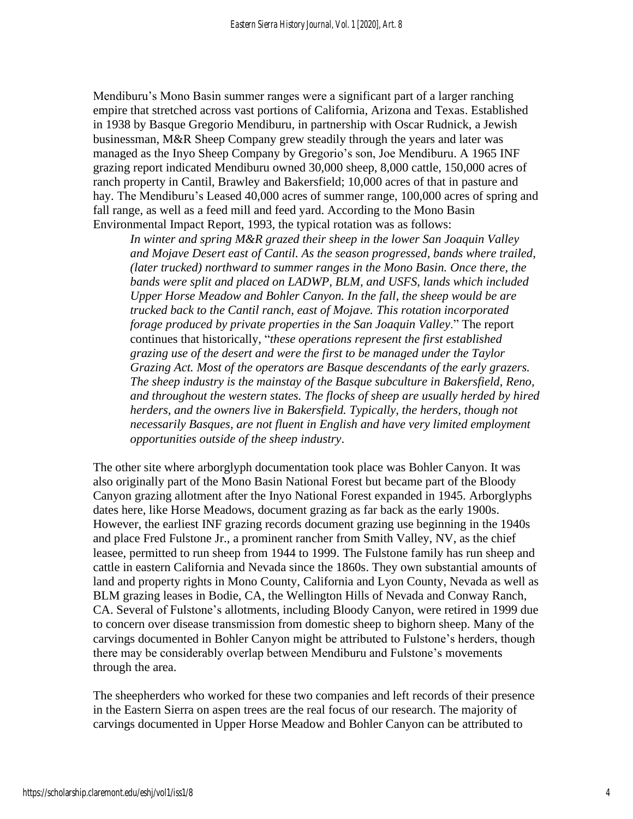Mendiburu's Mono Basin summer ranges were a significant part of a larger ranching empire that stretched across vast portions of California, Arizona and Texas. Established in 1938 by Basque Gregorio Mendiburu, in partnership with Oscar Rudnick, a Jewish businessman, M&R Sheep Company grew steadily through the years and later was managed as the Inyo Sheep Company by Gregorio's son, Joe Mendiburu. A 1965 INF grazing report indicated Mendiburu owned 30,000 sheep, 8,000 cattle, 150,000 acres of ranch property in Cantil, Brawley and Bakersfield; 10,000 acres of that in pasture and hay. The Mendiburu's Leased 40,000 acres of summer range, 100,000 acres of spring and fall range, as well as a feed mill and feed yard. According to the Mono Basin Environmental Impact Report, 1993, the typical rotation was as follows:

*In winter and spring M&R grazed their sheep in the lower San Joaquin Valley and Mojave Desert east of Cantil. As the season progressed, bands where trailed, (later trucked) northward to summer ranges in the Mono Basin. Once there, the bands were split and placed on LADWP, BLM, and USFS, lands which included Upper Horse Meadow and Bohler Canyon. In the fall, the sheep would be are trucked back to the Cantil ranch, east of Mojave. This rotation incorporated forage produced by private properties in the San Joaquin Valley*." The report continues that historically, "*these operations represent the first established grazing use of the desert and were the first to be managed under the Taylor Grazing Act. Most of the operators are Basque descendants of the early grazers. The sheep industry is the mainstay of the Basque subculture in Bakersfield, Reno, and throughout the western states. The flocks of sheep are usually herded by hired herders, and the owners live in Bakersfield. Typically, the herders, though not necessarily Basques, are not fluent in English and have very limited employment opportunities outside of the sheep industry*.

The other site where arborglyph documentation took place was Bohler Canyon. It was also originally part of the Mono Basin National Forest but became part of the Bloody Canyon grazing allotment after the Inyo National Forest expanded in 1945. Arborglyphs dates here, like Horse Meadows, document grazing as far back as the early 1900s. However, the earliest INF grazing records document grazing use beginning in the 1940s and place Fred Fulstone Jr., a prominent rancher from Smith Valley, NV, as the chief leasee, permitted to run sheep from 1944 to 1999. The Fulstone family has run sheep and cattle in eastern California and Nevada since the 1860s. They own substantial amounts of land and property rights in Mono County, California and Lyon County, Nevada as well as BLM grazing leases in Bodie, CA, the Wellington Hills of Nevada and Conway Ranch, CA. Several of Fulstone's allotments, including Bloody Canyon, were retired in 1999 due to concern over disease transmission from domestic sheep to bighorn sheep. Many of the carvings documented in Bohler Canyon might be attributed to Fulstone's herders, though there may be considerably overlap between Mendiburu and Fulstone's movements through the area.

The sheepherders who worked for these two companies and left records of their presence in the Eastern Sierra on aspen trees are the real focus of our research. The majority of carvings documented in Upper Horse Meadow and Bohler Canyon can be attributed to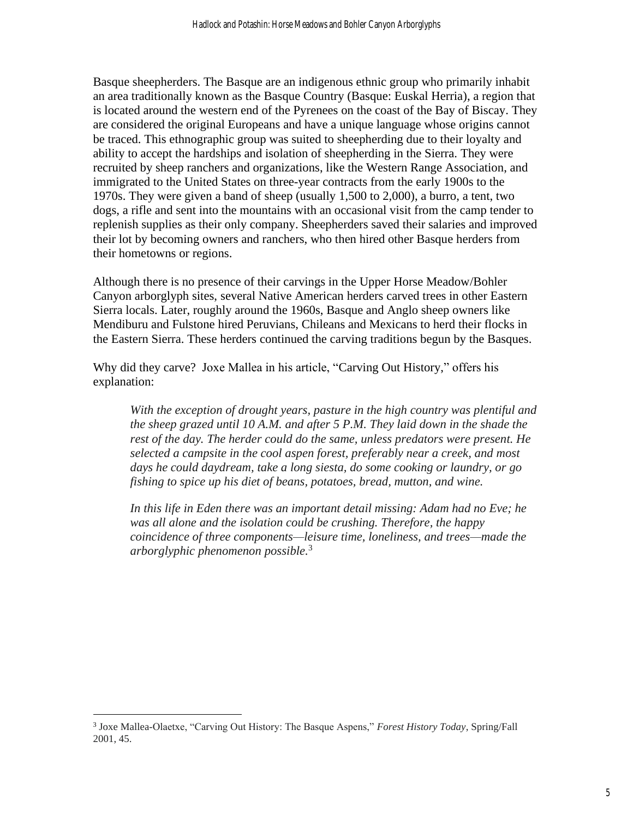Basque sheepherders. The Basque are an indigenous ethnic group who primarily inhabit an area traditionally known as the Basque Country (Basque: Euskal Herria), a region that is located around the western end of the Pyrenees on the coast of the Bay of Biscay. They are considered the original Europeans and have a unique language whose origins cannot be traced. This ethnographic group was suited to sheepherding due to their loyalty and ability to accept the hardships and isolation of sheepherding in the Sierra. They were recruited by sheep ranchers and organizations, like the Western Range Association, and immigrated to the United States on three-year contracts from the early 1900s to the 1970s. They were given a band of sheep (usually 1,500 to 2,000), a burro, a tent, two dogs, a rifle and sent into the mountains with an occasional visit from the camp tender to replenish supplies as their only company. Sheepherders saved their salaries and improved their lot by becoming owners and ranchers, who then hired other Basque herders from their hometowns or regions.

Although there is no presence of their carvings in the Upper Horse Meadow/Bohler Canyon arborglyph sites, several Native American herders carved trees in other Eastern Sierra locals. Later, roughly around the 1960s, Basque and Anglo sheep owners like Mendiburu and Fulstone hired Peruvians, Chileans and Mexicans to herd their flocks in the Eastern Sierra. These herders continued the carving traditions begun by the Basques.

Why did they carve? Joxe Mallea in his article, "Carving Out History," offers his explanation:

*With the exception of drought years, pasture in the high country was plentiful and the sheep grazed until 10 A.M. and after 5 P.M. They laid down in the shade the rest of the day. The herder could do the same, unless predators were present. He selected a campsite in the cool aspen forest, preferably near a creek, and most days he could daydream, take a long siesta, do some cooking or laundry, or go fishing to spice up his diet of beans, potatoes, bread, mutton, and wine.*

*In this life in Eden there was an important detail missing: Adam had no Eve; he was all alone and the isolation could be crushing. Therefore, the happy coincidence of three components—leisure time, loneliness, and trees—made the arborglyphic phenomenon possible.*<sup>3</sup>

<sup>3</sup> Joxe Mallea-Olaetxe, "Carving Out History: The Basque Aspens," *Forest History Today*, Spring/Fall 2001, 45.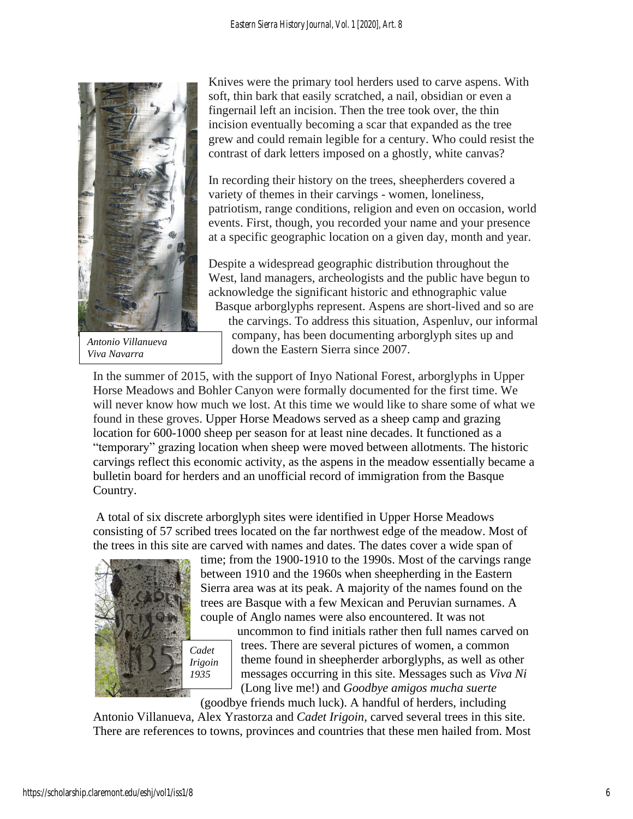

*Antonio Villanueva Viva Navarra*

Knives were the primary tool herders used to carve aspens. With soft, thin bark that easily scratched, a nail, obsidian or even a fingernail left an incision. Then the tree took over, the thin incision eventually becoming a scar that expanded as the tree grew and could remain legible for a century. Who could resist the contrast of dark letters imposed on a ghostly, white canvas?

In recording their history on the trees, sheepherders covered a variety of themes in their carvings - women, loneliness, patriotism, range conditions, religion and even on occasion, world events. First, though, you recorded your name and your presence at a specific geographic location on a given day, month and year.

Despite a widespread geographic distribution throughout the West, land managers, archeologists and the public have begun to acknowledge the significant historic and ethnographic value Basque arborglyphs represent. Aspens are short-lived and so are the carvings. To address this situation, Aspenluv, our informal company, has been documenting arborglyph sites up and down the Eastern Sierra since 2007.

In the summer of 2015, with the support of Inyo National Forest, arborglyphs in Upper Horse Meadows and Bohler Canyon were formally documented for the first time. We will never know how much we lost. At this time we would like to share some of what we found in these groves. Upper Horse Meadows served as a sheep camp and grazing location for 600-1000 sheep per season for at least nine decades. It functioned as a "temporary" grazing location when sheep were moved between allotments. The historic carvings reflect this economic activity, as the aspens in the meadow essentially became a bulletin board for herders and an unofficial record of immigration from the Basque Country.

A total of six discrete arborglyph sites were identified in Upper Horse Meadows consisting of 57 scribed trees located on the far northwest edge of the meadow. Most of the trees in this site are carved with names and dates. The dates cover a wide span of



time; from the 1900-1910 to the 1990s. Most of the carvings range between 1910 and the 1960s when sheepherding in the Eastern Sierra area was at its peak. A majority of the names found on the trees are Basque with a few Mexican and Peruvian surnames. A couple of Anglo names were also encountered. It was not

uncommon to find initials rather then full names carved on trees. There are several pictures of women, a common theme found in sheepherder arborglyphs, as well as other messages occurring in this site. Messages such as *Viva Ni* (Long live me!) and *Goodbye amigos mucha suerte*

(goodbye friends much luck). A handful of herders, including Antonio Villanueva, Alex Yrastorza and *Cadet Irigoin*, carved several trees in this site. There are references to towns, provinces and countries that these men hailed from. Most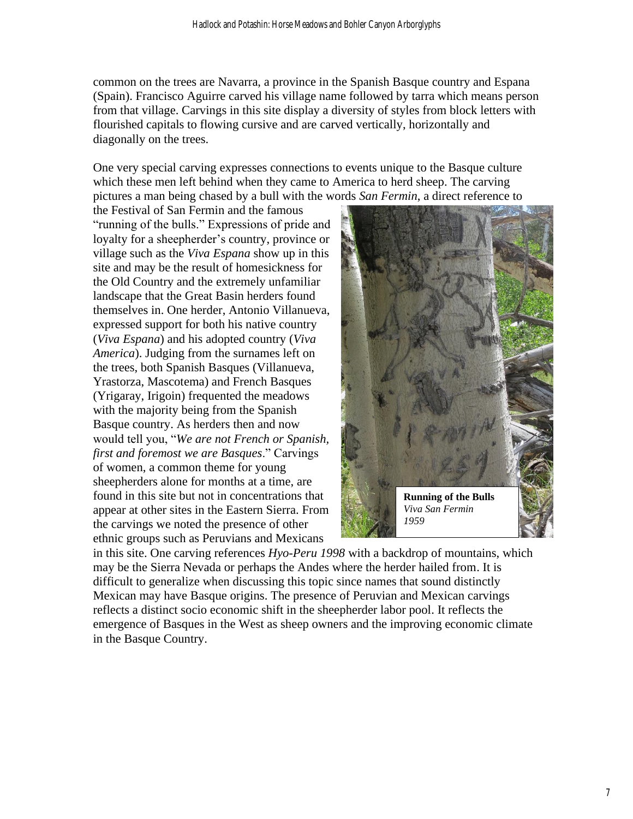common on the trees are Navarra, a province in the Spanish Basque country and Espana (Spain). Francisco Aguirre carved his village name followed by tarra which means person from that village. Carvings in this site display a diversity of styles from block letters with flourished capitals to flowing cursive and are carved vertically, horizontally and diagonally on the trees.

One very special carving expresses connections to events unique to the Basque culture which these men left behind when they came to America to herd sheep. The carving pictures a man being chased by a bull with the words *San Fermin*, a direct reference to

the Festival of San Fermin and the famous "running of the bulls." Expressions of pride and loyalty for a sheepherder's country, province or village such as the *Viva Espana* show up in this site and may be the result of homesickness for the Old Country and the extremely unfamiliar landscape that the Great Basin herders found themselves in. One herder, Antonio Villanueva, expressed support for both his native country (*Viva Espana*) and his adopted country (*Viva America*). Judging from the surnames left on the trees, both Spanish Basques (Villanueva, Yrastorza, Mascotema) and French Basques (Yrigaray, Irigoin) frequented the meadows with the majority being from the Spanish Basque country. As herders then and now would tell you, "*We are not French or Spanish, first and foremost we are Basques*." Carvings of women, a common theme for young sheepherders alone for months at a time, are found in this site but not in concentrations that appear at other sites in the Eastern Sierra. From the carvings we noted the presence of other ethnic groups such as Peruvians and Mexicans



in this site. One carving references *Hyo-Peru 1998* with a backdrop of mountains, which may be the Sierra Nevada or perhaps the Andes where the herder hailed from. It is difficult to generalize when discussing this topic since names that sound distinctly Mexican may have Basque origins. The presence of Peruvian and Mexican carvings reflects a distinct socio economic shift in the sheepherder labor pool. It reflects the emergence of Basques in the West as sheep owners and the improving economic climate in the Basque Country.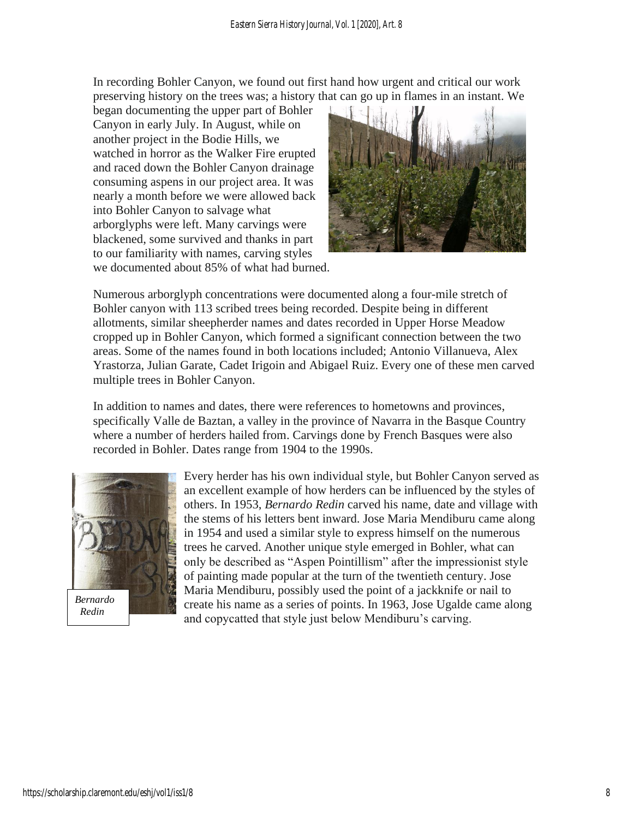In recording Bohler Canyon, we found out first hand how urgent and critical our work preserving history on the trees was; a history that can go up in flames in an instant. We

began documenting the upper part of Bohler Canyon in early July. In August, while on another project in the Bodie Hills, we watched in horror as the Walker Fire erupted and raced down the Bohler Canyon drainage consuming aspens in our project area. It was nearly a month before we were allowed back into Bohler Canyon to salvage what arborglyphs were left. Many carvings were blackened, some survived and thanks in part to our familiarity with names, carving styles we documented about 85% of what had burned.



Numerous arborglyph concentrations were documented along a four-mile stretch of Bohler canyon with 113 scribed trees being recorded. Despite being in different allotments, similar sheepherder names and dates recorded in Upper Horse Meadow cropped up in Bohler Canyon, which formed a significant connection between the two areas. Some of the names found in both locations included; Antonio Villanueva, Alex Yrastorza, Julian Garate, Cadet Irigoin and Abigael Ruiz. Every one of these men carved multiple trees in Bohler Canyon.

In addition to names and dates, there were references to hometowns and provinces, specifically Valle de Baztan, a valley in the province of Navarra in the Basque Country where a number of herders hailed from. Carvings done by French Basques were also recorded in Bohler. Dates range from 1904 to the 1990s.



 *Redin*

Every herder has his own individual style, but Bohler Canyon served as an excellent example of how herders can be influenced by the styles of others. In 1953, *Bernardo Redin* carved his name, date and village with the stems of his letters bent inward. Jose Maria Mendiburu came along in 1954 and used a similar style to express himself on the numerous trees he carved. Another unique style emerged in Bohler, what can only be described as "Aspen Pointillism" after the impressionist style of painting made popular at the turn of the twentieth century. Jose Maria Mendiburu, possibly used the point of a jackknife or nail to create his name as a series of points. In 1963, Jose Ugalde came along and copycatted that style just below Mendiburu's carving.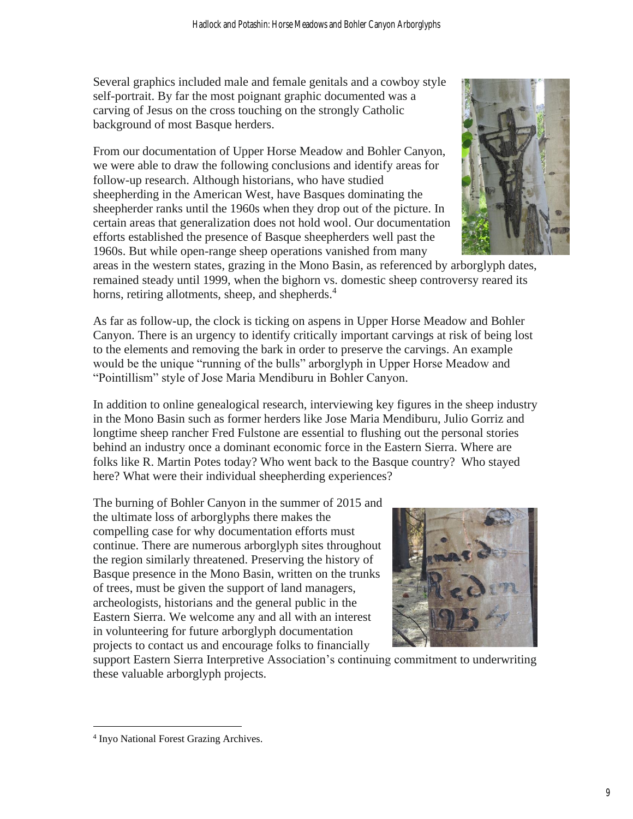Several graphics included male and female genitals and a cowboy style self-portrait. By far the most poignant graphic documented was a carving of Jesus on the cross touching on the strongly Catholic background of most Basque herders.

From our documentation of Upper Horse Meadow and Bohler Canyon, we were able to draw the following conclusions and identify areas for follow-up research. Although historians, who have studied sheepherding in the American West, have Basques dominating the sheepherder ranks until the 1960s when they drop out of the picture. In certain areas that generalization does not hold wool. Our documentation efforts established the presence of Basque sheepherders well past the 1960s. But while open-range sheep operations vanished from many



areas in the western states, grazing in the Mono Basin, as referenced by arborglyph dates, remained steady until 1999, when the bighorn vs. domestic sheep controversy reared its horns, retiring allotments, sheep, and shepherds.<sup>4</sup>

As far as follow-up, the clock is ticking on aspens in Upper Horse Meadow and Bohler Canyon. There is an urgency to identify critically important carvings at risk of being lost to the elements and removing the bark in order to preserve the carvings. An example would be the unique "running of the bulls" arborglyph in Upper Horse Meadow and "Pointillism" style of Jose Maria Mendiburu in Bohler Canyon.

In addition to online genealogical research, interviewing key figures in the sheep industry in the Mono Basin such as former herders like Jose Maria Mendiburu, Julio Gorriz and longtime sheep rancher Fred Fulstone are essential to flushing out the personal stories behind an industry once a dominant economic force in the Eastern Sierra. Where are folks like R. Martin Potes today? Who went back to the Basque country? Who stayed here? What were their individual sheepherding experiences?

The burning of Bohler Canyon in the summer of 2015 and the ultimate loss of arborglyphs there makes the compelling case for why documentation efforts must continue. There are numerous arborglyph sites throughout the region similarly threatened. Preserving the history of Basque presence in the Mono Basin, written on the trunks of trees, must be given the support of land managers, archeologists, historians and the general public in the Eastern Sierra. We welcome any and all with an interest in volunteering for future arborglyph documentation projects to contact us and encourage folks to financially



support Eastern Sierra Interpretive Association's continuing commitment to underwriting these valuable arborglyph projects.

<sup>4</sup> Inyo National Forest Grazing Archives.